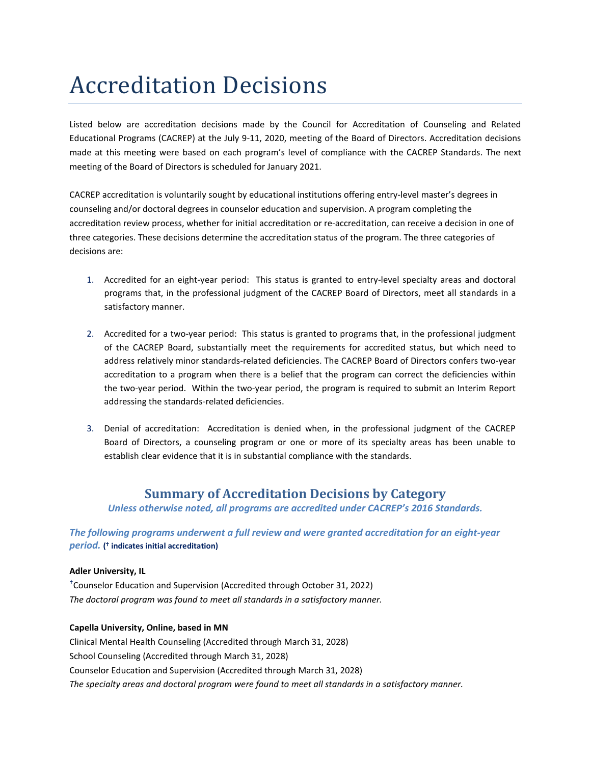# Accreditation Decisions

Listed below are accreditation decisions made by the Council for Accreditation of Counseling and Related Educational Programs (CACREP) at the July 9-11, 2020, meeting of the Board of Directors. Accreditation decisions made at this meeting were based on each program's level of compliance with the CACREP Standards. The next meeting of the Board of Directors is scheduled for January 2021.

CACREP accreditation is voluntarily sought by educational institutions offering entry-level master's degrees in counseling and/or doctoral degrees in counselor education and supervision. A program completing the accreditation review process, whether for initial accreditation or re-accreditation, can receive a decision in one of three categories. These decisions determine the accreditation status of the program. The three categories of decisions are:

- 1. Accredited for an eight-year period: This status is granted to entry-level specialty areas and doctoral programs that, in the professional judgment of the CACREP Board of Directors, meet all standards in a satisfactory manner.
- 2. Accredited for a two-year period: This status is granted to programs that, in the professional judgment of the CACREP Board, substantially meet the requirements for accredited status, but which need to address relatively minor standards-related deficiencies. The CACREP Board of Directors confers two-year accreditation to a program when there is a belief that the program can correct the deficiencies within the two-year period. Within the two-year period, the program is required to submit an Interim Report addressing the standards-related deficiencies.
- 3. Denial of accreditation: Accreditation is denied when, in the professional judgment of the CACREP Board of Directors, a counseling program or one or more of its specialty areas has been unable to establish clear evidence that it is in substantial compliance with the standards.

# **Summary of Accreditation Decisions by Category**

*Unless otherwise noted, all programs are accredited under CACREP's 2016 Standards.*

*The following programs underwent a full review and were granted accreditation for an eight-year period.* **( indicates initial accreditation)**

# **Adler University, IL**

 Counselor Education and Supervision (Accredited through October 31, 2022) *The doctoral program was found to meet all standards in a satisfactory manner.*

## **Capella University, Online, based in MN**

Clinical Mental Health Counseling (Accredited through March 31, 2028) School Counseling (Accredited through March 31, 2028) Counselor Education and Supervision (Accredited through March 31, 2028) *The specialty areas and doctoral program were found to meet all standards in a satisfactory manner.*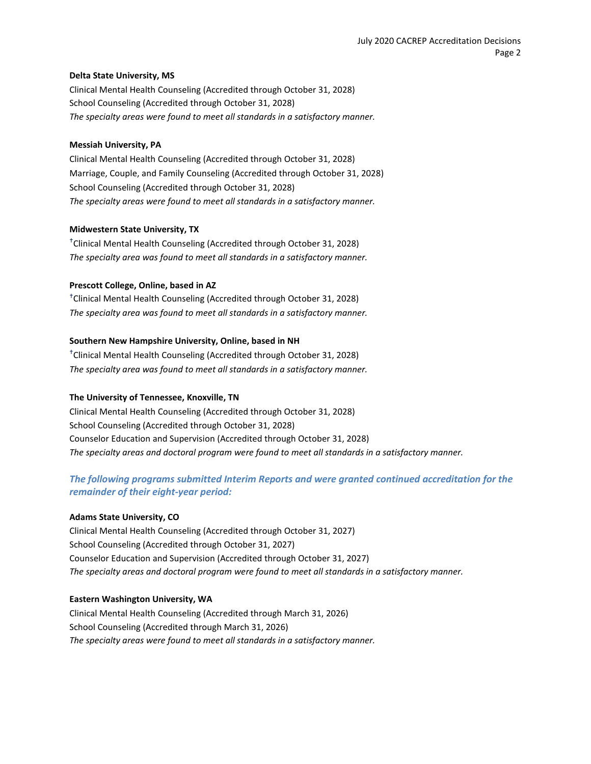#### **Delta State University, MS**

Clinical Mental Health Counseling (Accredited through October 31, 2028) School Counseling (Accredited through October 31, 2028) *The specialty areas were found to meet all standards in a satisfactory manner.*

#### **Messiah University, PA**

Clinical Mental Health Counseling (Accredited through October 31, 2028) Marriage, Couple, and Family Counseling (Accredited through October 31, 2028) School Counseling (Accredited through October 31, 2028) *The specialty areas were found to meet all standards in a satisfactory manner.*

#### **Midwestern State University, TX**

 Clinical Mental Health Counseling (Accredited through October 31, 2028) *The specialty area was found to meet all standards in a satisfactory manner.*

#### **Prescott College, Online, based in AZ**

 Clinical Mental Health Counseling (Accredited through October 31, 2028) *The specialty area was found to meet all standards in a satisfactory manner.*

## **Southern New Hampshire University, Online, based in NH**

 Clinical Mental Health Counseling (Accredited through October 31, 2028) *The specialty area was found to meet all standards in a satisfactory manner.*

## **The University of Tennessee, Knoxville, TN**

Clinical Mental Health Counseling (Accredited through October 31, 2028) School Counseling (Accredited through October 31, 2028) Counselor Education and Supervision (Accredited through October 31, 2028) *The specialty areas and doctoral program were found to meet all standards in a satisfactory manner.*

# *The following programs submitted Interim Reports and were granted continued accreditation for the remainder of their eight-year period:*

## **Adams State University, CO**

Clinical Mental Health Counseling (Accredited through October 31, 2027) School Counseling (Accredited through October 31, 2027) Counselor Education and Supervision (Accredited through October 31, 2027) *The specialty areas and doctoral program were found to meet all standards in a satisfactory manner.*

## **Eastern Washington University, WA**

Clinical Mental Health Counseling (Accredited through March 31, 2026) School Counseling (Accredited through March 31, 2026) *The specialty areas were found to meet all standards in a satisfactory manner.*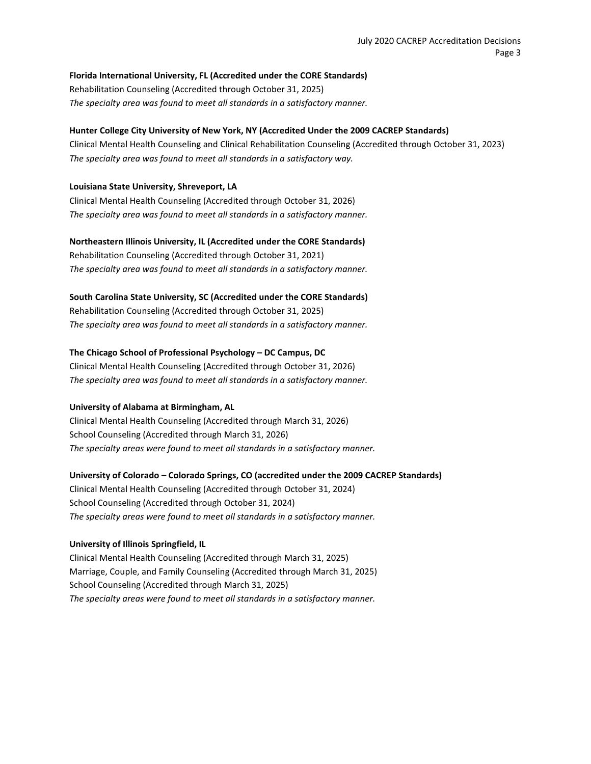# **Florida International University, FL (Accredited under the CORE Standards)** Rehabilitation Counseling (Accredited through October 31, 2025)

#### *The specialty area was found to meet all standards in a satisfactory manner.*

# **Hunter College City University of New York, NY (Accredited Under the 2009 CACREP Standards)**

Clinical Mental Health Counseling and Clinical Rehabilitation Counseling (Accredited through October 31, 2023) *The specialty area was found to meet all standards in a satisfactory way.*

# **Louisiana State University, Shreveport, LA**

Clinical Mental Health Counseling (Accredited through October 31, 2026) *The specialty area was found to meet all standards in a satisfactory manner.*

## **Northeastern Illinois University, IL (Accredited under the CORE Standards)**

Rehabilitation Counseling (Accredited through October 31, 2021) *The specialty area was found to meet all standards in a satisfactory manner.*

## **South Carolina State University, SC (Accredited under the CORE Standards)**

Rehabilitation Counseling (Accredited through October 31, 2025) *The specialty area was found to meet all standards in a satisfactory manner.*

## **The Chicago School of Professional Psychology – DC Campus, DC**

Clinical Mental Health Counseling (Accredited through October 31, 2026) *The specialty area was found to meet all standards in a satisfactory manner.*

## **University of Alabama at Birmingham, AL**

Clinical Mental Health Counseling (Accredited through March 31, 2026) School Counseling (Accredited through March 31, 2026) *The specialty areas were found to meet all standards in a satisfactory manner.*

# **University of Colorado – Colorado Springs, CO (accredited under the 2009 CACREP Standards)**

Clinical Mental Health Counseling (Accredited through October 31, 2024) School Counseling (Accredited through October 31, 2024) *The specialty areas were found to meet all standards in a satisfactory manner.*

## **University of Illinois Springfield, IL**

Clinical Mental Health Counseling (Accredited through March 31, 2025) Marriage, Couple, and Family Counseling (Accredited through March 31, 2025) School Counseling (Accredited through March 31, 2025) *The specialty areas were found to meet all standards in a satisfactory manner.*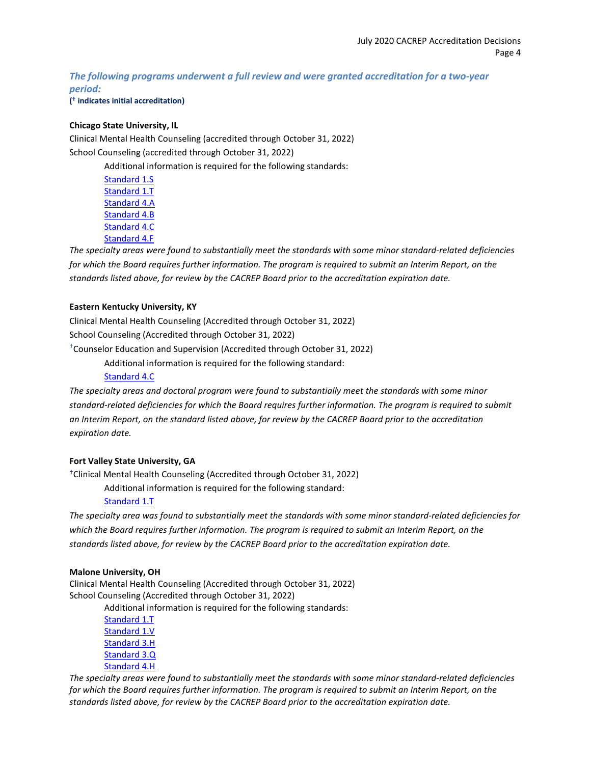*The following programs underwent a full review and were granted accreditation for a two-year period:*

**( indicates initial accreditation)**

# **Chicago State University, IL**

Clinical Mental Health Counseling (accredited through October 31, 2022) School Counseling (accredited through October 31, 2022)

Additional information is required for the following standards:

[Standard 1.S](http://www.cacrep.org/wp-content/uploads/2017/08/2016-Standards-with-citations.pdf#nameddest=1.S) [Standard 1.T](http://www.cacrep.org/wp-content/uploads/2017/08/2016-Standards-with-citations.pdf#nameddest=1.T) [Standard 4.A](http://www.cacrep.org/wp-content/uploads/2017/08/2016-Standards-with-citations.pdf#nameddest=4.A) [Standard 4.B](http://www.cacrep.org/wp-content/uploads/2017/08/2016-Standards-with-citations.pdf#nameddest=4.B) [Standard 4.C](http://www.cacrep.org/wp-content/uploads/2017/08/2016-Standards-with-citations.pdf#nameddest=4.C) [Standard 4.F](http://www.cacrep.org/wp-content/uploads/2017/08/2016-Standards-with-citations.pdf#nameddest=4.F)

*The specialty areas were found to substantially meet the standards with some minor standard-related deficiencies for which the Board requires further information. The program is required to submit an Interim Report, on the standards listed above, for review by the CACREP Board prior to the accreditation expiration date.*

# **Eastern Kentucky University, KY**

Clinical Mental Health Counseling (Accredited through October 31, 2022) School Counseling (Accredited through October 31, 2022) Counselor Education and Supervision (Accredited through October 31, 2022)

Additional information is required for the following standard:

[Standard 4.C](http://www.cacrep.org/wp-content/uploads/2017/08/2016-Standards-with-citations.pdf#nameddest=4.C)

*The specialty areas and doctoral program were found to substantially meet the standards with some minor standard-related deficiencies for which the Board requires further information. The program is required to submit an Interim Report, on the standard listed above, for review by the CACREP Board prior to the accreditation expiration date.*

## **Fort Valley State University, GA**

Clinical Mental Health Counseling (Accredited through October 31, 2022)

Additional information is required for the following standard:

## [Standard 1.T](http://www.cacrep.org/wp-content/uploads/2017/08/2016-Standards-with-citations.pdf#nameddest=1.T)

*The specialty area was found to substantially meet the standards with some minor standard-related deficiencies for which the Board requires further information. The program is required to submit an Interim Report, on the standards listed above, for review by the CACREP Board prior to the accreditation expiration date.*

## **Malone University, OH**

Clinical Mental Health Counseling (Accredited through October 31, 2022) School Counseling (Accredited through October 31, 2022)

Additional information is required for the following standards:

[Standard 1.T](http://www.cacrep.org/wp-content/uploads/2017/08/2016-Standards-with-citations.pdf#nameddest=1.T) [Standard 1.V](http://www.cacrep.org/wp-content/uploads/2017/08/2016-Standards-with-citations.pdf#nameddest=1.V) [Standard 3.H](http://www.cacrep.org/wp-content/uploads/2017/08/2016-Standards-with-citations.pdf#nameddest=3.H) [Standard 3.Q](http://www.cacrep.org/wp-content/uploads/2017/08/2016-Standards-with-citations.pdf#nameddest=3.Q) [Standard 4.H](http://www.cacrep.org/wp-content/uploads/2017/08/2016-Standards-with-citations.pdf#nameddest=4.H)

*The specialty areas were found to substantially meet the standards with some minor standard-related deficiencies for which the Board requires further information. The program is required to submit an Interim Report, on the standards listed above, for review by the CACREP Board prior to the accreditation expiration date.*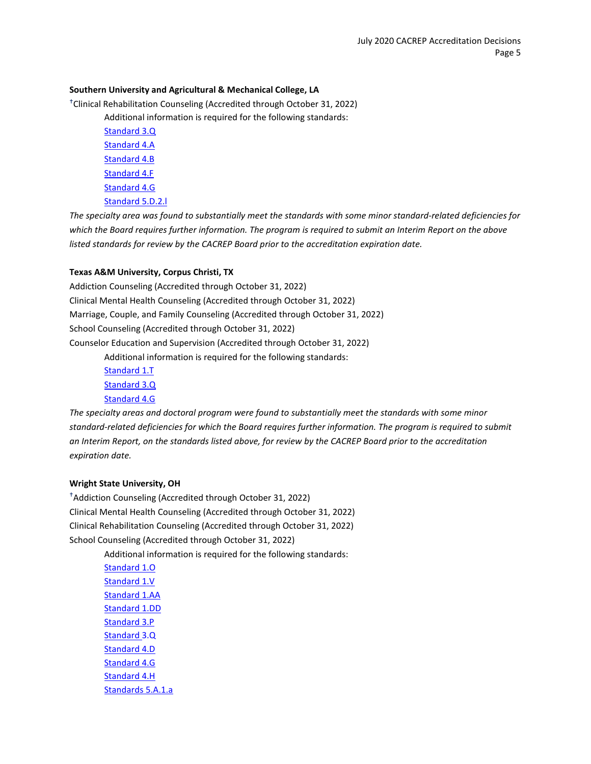#### **Southern University and Agricultural & Mechanical College, LA**

Clinical Rehabilitation Counseling (Accredited through October 31, 2022)

Additional information is required for the following standards:

[Standard 3.Q](http://www.cacrep.org/wp-content/uploads/2017/08/2016-Standards-with-citations.pdf#nameddest=3.Q) [Standard 4.A](http://www.cacrep.org/wp-content/uploads/2017/08/2016-Standards-with-citations.pdf#nameddest=4.A) [Standard 4.B](http://www.cacrep.org/wp-content/uploads/2017/08/2016-Standards-with-citations.pdf#nameddest=4.B) [Standard 4.F](http://www.cacrep.org/wp-content/uploads/2017/08/2016-Standards-with-citations.pdf#nameddest=4.F) [Standard 4.G](http://www.cacrep.org/wp-content/uploads/2017/08/2016-Standards-with-citations.pdf#nameddest=4.G) [Standard 5.D.2.l](http://www.cacrep.org/wp-content/uploads/2017/08/2016-Standards-with-citations.pdf#nameddest=5.D.2)

*The specialty area was found to substantially meet the standards with some minor standard-related deficiencies for which the Board requires further information. The program is required to submit an Interim Report on the above listed standards for review by the CACREP Board prior to the accreditation expiration date.*

#### **Texas A&M University, Corpus Christi, TX**

Addiction Counseling (Accredited through October 31, 2022) Clinical Mental Health Counseling (Accredited through October 31, 2022) Marriage, Couple, and Family Counseling (Accredited through October 31, 2022) School Counseling (Accredited through October 31, 2022) Counselor Education and Supervision (Accredited through October 31, 2022) Additional information is required for the following standards:

> [Standard 1.T](http://www.cacrep.org/wp-content/uploads/2017/08/2016-Standards-with-citations.pdf#nameddest=1.T) [Standard 3.Q](http://www.cacrep.org/wp-content/uploads/2017/08/2016-Standards-with-citations.pdf#nameddest=3.Q) [Standard 4.G](http://www.cacrep.org/wp-content/uploads/2017/08/2016-Standards-with-citations.pdf#nameddest=4.G)

*The specialty areas and doctoral program were found to substantially meet the standards with some minor standard-related deficiencies for which the Board requires further information. The program is required to submit an Interim Report, on the standards listed above, for review by the CACREP Board prior to the accreditation expiration date.*

#### **Wright State University, OH**

 Addiction Counseling (Accredited through October 31, 2022) Clinical Mental Health Counseling (Accredited through October 31, 2022) Clinical Rehabilitation Counseling (Accredited through October 31, 2022) School Counseling (Accredited through October 31, 2022)

> Additional information is required for the following standards: [Standard 1.O](http://www.cacrep.org/wp-content/uploads/2017/08/2016-Standards-with-citations.pdf#nameddest=1.O) [Standard 1.V](http://www.cacrep.org/wp-content/uploads/2017/08/2016-Standards-with-citations.pdf#nameddest=1.V) [Standard 1.AA](http://www.cacrep.org/wp-content/uploads/2017/08/2016-Standards-with-citations.pdf#nameddest=1.AA) [Standard 1.DD](http://www.cacrep.org/wp-content/uploads/2017/08/2016-Standards-with-citations.pdf#nameddest=1.DD) [Standard 3.P](http://www.cacrep.org/wp-content/uploads/2017/08/2016-Standards-with-citations.pdf#nameddest=3.P) [Standard 3.Q](http://www.cacrep.org/wp-content/uploads/2017/08/2016-Standards-with-citations.pdf#nameddest=3.Q) [Standard 4.D](http://www.cacrep.org/wp-content/uploads/2017/08/2016-Standards-with-citations.pdf#nameddest=4.D) [Standard 4.G](http://www.cacrep.org/wp-content/uploads/2017/08/2016-Standards-with-citations.pdf#nameddest=4.G) [Standard 4.H](http://www.cacrep.org/wp-content/uploads/2017/08/2016-Standards-with-citations.pdf#nameddest=4.H) [Standards 5.A.1.a](http://www.cacrep.org/wp-content/uploads/2017/08/2016-Standards-with-citations.pdf#nameddest=5.A.1)